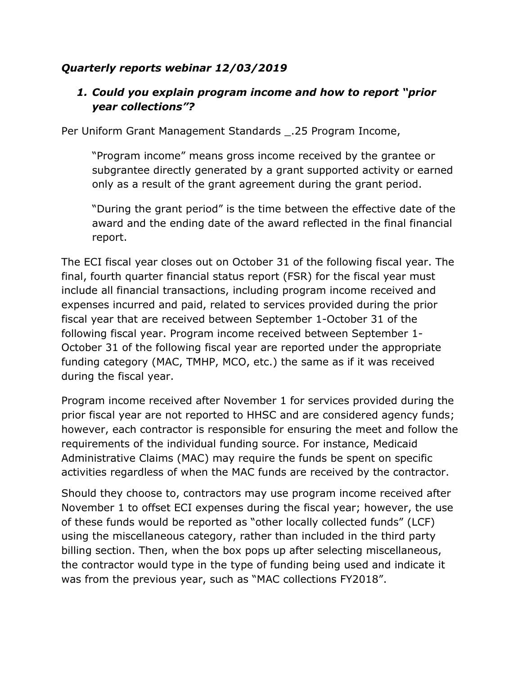# *Quarterly reports webinar 12/03/2019*

# *1. Could you explain program income and how to report "prior year collections"?*

Per Uniform Grant Management Standards \_.25 Program Income,

"Program income" means gross income received by the grantee or subgrantee directly generated by a grant supported activity or earned only as a result of the grant agreement during the grant period.

"During the grant period" is the time between the effective date of the award and the ending date of the award reflected in the final financial report.

The ECI fiscal year closes out on October 31 of the following fiscal year. The final, fourth quarter financial status report (FSR) for the fiscal year must include all financial transactions, including program income received and expenses incurred and paid, related to services provided during the prior fiscal year that are received between September 1-October 31 of the following fiscal year. Program income received between September 1- October 31 of the following fiscal year are reported under the appropriate funding category (MAC, TMHP, MCO, etc.) the same as if it was received during the fiscal year.

Program income received after November 1 for services provided during the prior fiscal year are not reported to HHSC and are considered agency funds; however, each contractor is responsible for ensuring the meet and follow the requirements of the individual funding source. For instance, Medicaid Administrative Claims (MAC) may require the funds be spent on specific activities regardless of when the MAC funds are received by the contractor.

Should they choose to, contractors may use program income received after November 1 to offset ECI expenses during the fiscal year; however, the use of these funds would be reported as "other locally collected funds" (LCF) using the miscellaneous category, rather than included in the third party billing section. Then, when the box pops up after selecting miscellaneous, the contractor would type in the type of funding being used and indicate it was from the previous year, such as "MAC collections FY2018".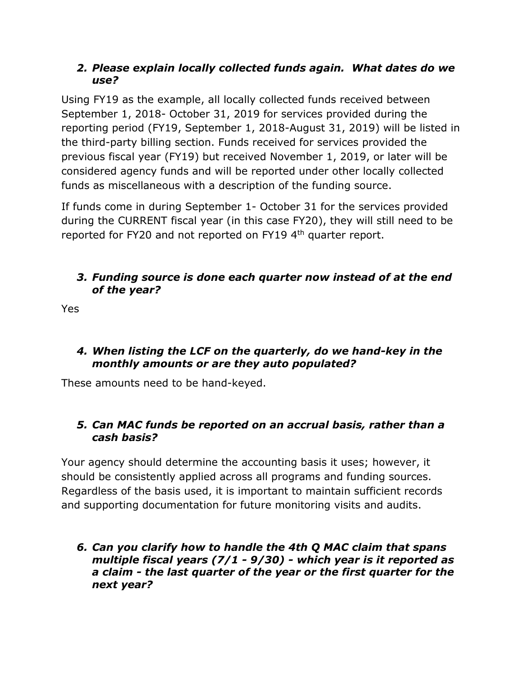## *2. Please explain locally collected funds again. What dates do we use?*

Using FY19 as the example, all locally collected funds received between September 1, 2018- October 31, 2019 for services provided during the reporting period (FY19, September 1, 2018-August 31, 2019) will be listed in the third-party billing section. Funds received for services provided the previous fiscal year (FY19) but received November 1, 2019, or later will be considered agency funds and will be reported under other locally collected funds as miscellaneous with a description of the funding source.

If funds come in during September 1- October 31 for the services provided during the CURRENT fiscal year (in this case FY20), they will still need to be reported for FY20 and not reported on FY19 4<sup>th</sup> quarter report.

## *3. Funding source is done each quarter now instead of at the end of the year?*

Yes

## *4. When listing the LCF on the quarterly, do we hand-key in the monthly amounts or are they auto populated?*

These amounts need to be hand-keyed.

## *5. Can MAC funds be reported on an accrual basis, rather than a cash basis?*

Your agency should determine the accounting basis it uses; however, it should be consistently applied across all programs and funding sources. Regardless of the basis used, it is important to maintain sufficient records and supporting documentation for future monitoring visits and audits.

*6. Can you clarify how to handle the 4th Q MAC claim that spans multiple fiscal years (7/1 - 9/30) - which year is it reported as a claim - the last quarter of the year or the first quarter for the next year?*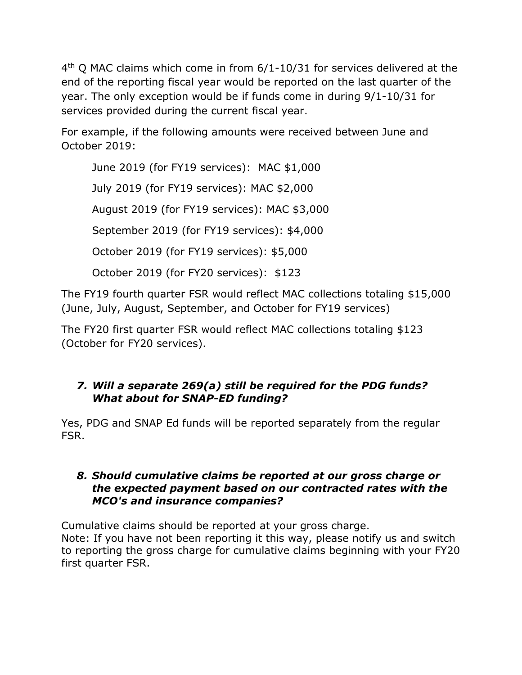4<sup>th</sup> Q MAC claims which come in from 6/1-10/31 for services delivered at the end of the reporting fiscal year would be reported on the last quarter of the year. The only exception would be if funds come in during 9/1-10/31 for services provided during the current fiscal year.

For example, if the following amounts were received between June and October 2019:

June 2019 (for FY19 services): MAC \$1,000 July 2019 (for FY19 services): MAC \$2,000 August 2019 (for FY19 services): MAC \$3,000 September 2019 (for FY19 services): \$4,000 October 2019 (for FY19 services): \$5,000 October 2019 (for FY20 services): \$123

The FY19 fourth quarter FSR would reflect MAC collections totaling \$15,000 (June, July, August, September, and October for FY19 services)

The FY20 first quarter FSR would reflect MAC collections totaling \$123 (October for FY20 services).

# *7. Will a separate 269(a) still be required for the PDG funds? What about for SNAP-ED funding?*

Yes, PDG and SNAP Ed funds will be reported separately from the regular FSR.

#### *8. Should cumulative claims be reported at our gross charge or the expected payment based on our contracted rates with the MCO's and insurance companies?*

Cumulative claims should be reported at your gross charge. Note: If you have not been reporting it this way, please notify us and switch to reporting the gross charge for cumulative claims beginning with your FY20 first quarter FSR.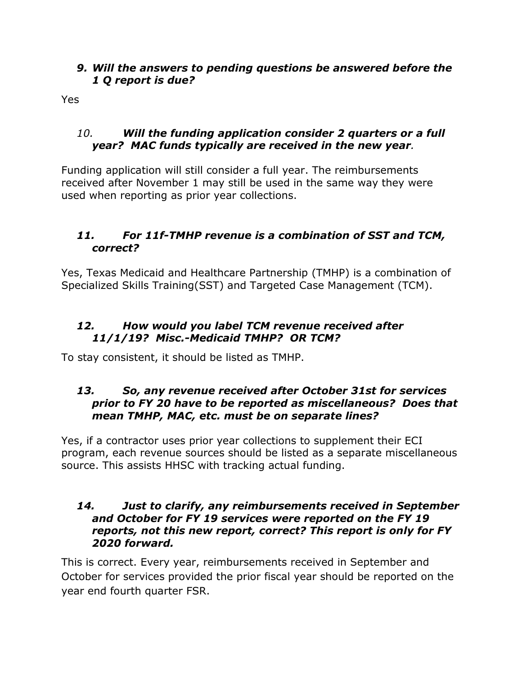#### *9. Will the answers to pending questions be answered before the 1 Q report is due?*

Yes

## *10. Will the funding application consider 2 quarters or a full year? MAC funds typically are received in the new year.*

Funding application will still consider a full year. The reimbursements received after November 1 may still be used in the same way they were used when reporting as prior year collections.

# *11. For 11f-TMHP revenue is a combination of SST and TCM, correct?*

Yes, Texas Medicaid and Healthcare Partnership (TMHP) is a combination of Specialized Skills Training(SST) and Targeted Case Management (TCM).

## *12. How would you label TCM revenue received after 11/1/19? Misc.-Medicaid TMHP? OR TCM?*

To stay consistent, it should be listed as TMHP.

## *13. So, any revenue received after October 31st for services prior to FY 20 have to be reported as miscellaneous? Does that mean TMHP, MAC, etc. must be on separate lines?*

Yes, if a contractor uses prior year collections to supplement their ECI program, each revenue sources should be listed as a separate miscellaneous source. This assists HHSC with tracking actual funding.

#### *14. Just to clarify, any reimbursements received in September and October for FY 19 services were reported on the FY 19 reports, not this new report, correct? This report is only for FY 2020 forward.*

This is correct. Every year, reimbursements received in September and October for services provided the prior fiscal year should be reported on the year end fourth quarter FSR.